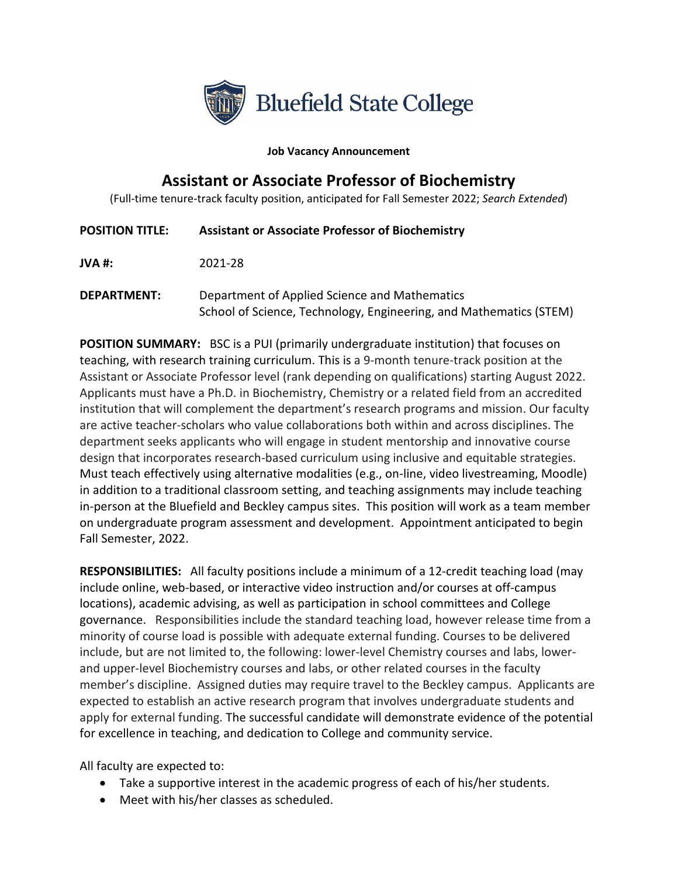

**Job Vacancy Announcement** 

## **Assistant or Associate Professor of Biochemistry**

(Full-time tenure-track faculty position, anticipated for Fall Semester 2022; *Search Extended*)

|  | <b>POSITION TITLE:</b> | <b>Assistant or Associate Professor of Biochemistry</b> |
|--|------------------------|---------------------------------------------------------|
|--|------------------------|---------------------------------------------------------|

**JVA #:** 2021-28

**DEPARTMENT:** Department of Applied Science and Mathematics School of Science, Technology, Engineering, and Mathematics (STEM)

**POSITION SUMMARY:** BSC is a PUI (primarily undergraduate institution) that focuses on teaching, with research training curriculum. This is a 9-month tenure-track position at the Assistant or Associate Professor level (rank depending on qualifications) starting August 2022. Applicants must have a Ph.D. in Biochemistry, Chemistry or a related field from an accredited institution that will complement the department's research programs and mission. Our faculty are active teacher-scholars who value collaborations both within and across disciplines. The department seeks applicants who will engage in student mentorship and innovative course design that incorporates research-based curriculum using inclusive and equitable strategies. Must teach effectively using alternative modalities (e.g., on-line, video livestreaming, Moodle) in addition to a traditional classroom setting, and teaching assignments may include teaching in-person at the Bluefield and Beckley campus sites. This position will work as a team member on undergraduate program assessment and development. Appointment anticipated to begin Fall Semester, 2022.

**RESPONSIBILITIES:** All faculty positions include a minimum of a 12-credit teaching load (may include online, web-based, or interactive video instruction and/or courses at off-campus locations), academic advising, as well as participation in school committees and College governance. Responsibilities include the standard teaching load, however release time from a minority of course load is possible with adequate external funding. Courses to be delivered include, but are not limited to, the following: lower-level Chemistry courses and labs, lowerand upper-level Biochemistry courses and labs, or other related courses in the faculty member's discipline. Assigned duties may require travel to the Beckley campus. Applicants are expected to establish an active research program that involves undergraduate students and apply for external funding. The successful candidate will demonstrate evidence of the potential for excellence in teaching, and dedication to College and community service.

All faculty are expected to:

- Take a supportive interest in the academic progress of each of his/her students.
- Meet with his/her classes as scheduled.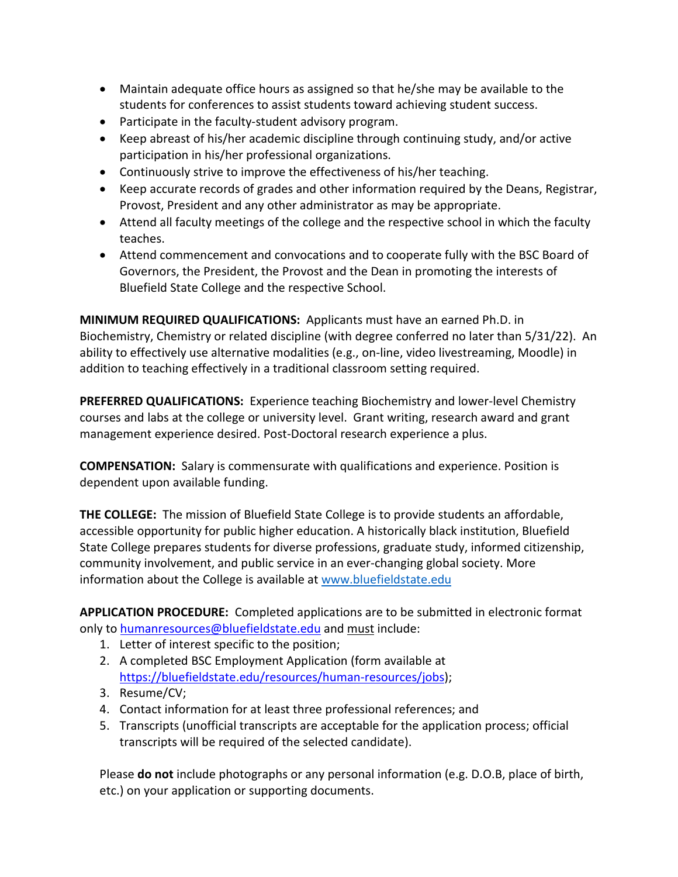- Maintain adequate office hours as assigned so that he/she may be available to the students for conferences to assist students toward achieving student success.
- Participate in the faculty-student advisory program.
- Keep abreast of his/her academic discipline through continuing study, and/or active participation in his/her professional organizations.
- Continuously strive to improve the effectiveness of his/her teaching.
- Keep accurate records of grades and other information required by the Deans, Registrar, Provost, President and any other administrator as may be appropriate.
- Attend all faculty meetings of the college and the respective school in which the faculty teaches.
- Attend commencement and convocations and to cooperate fully with the BSC Board of Governors, the President, the Provost and the Dean in promoting the interests of Bluefield State College and the respective School.

**MINIMUM REQUIRED QUALIFICATIONS:** Applicants must have an earned Ph.D. in Biochemistry, Chemistry or related discipline (with degree conferred no later than 5/31/22). An ability to effectively use alternative modalities (e.g., on-line, video livestreaming, Moodle) in addition to teaching effectively in a traditional classroom setting required.

**PREFERRED QUALIFICATIONS:** Experience teaching Biochemistry and lower-level Chemistry courses and labs at the college or university level. Grant writing, research award and grant management experience desired. Post-Doctoral research experience a plus.

**COMPENSATION:** Salary is commensurate with qualifications and experience. Position is dependent upon available funding.

**THE COLLEGE:** The mission of Bluefield State College is to provide students an affordable, accessible opportunity for public higher education. A historically black institution, Bluefield State College prepares students for diverse professions, graduate study, informed citizenship, community involvement, and public service in an ever-changing global society. More information about the College is available at [www.bluefieldstate.edu](http://www.bluefieldstate.edu/)

**APPLICATION PROCEDURE:** Completed applications are to be submitted in electronic format only to [humanresources@bluefieldstate.edu](mailto:humanresources@bluefieldstate.edu) and must include:

- 1. Letter of interest specific to the position;
- 2. A completed BSC Employment Application (form available at [https://bluefieldstate.edu/resources/human-resources/jobs\)](https://bluefieldstate.edu/resources/human-resources/jobs);
- 3. Resume/CV;
- 4. Contact information for at least three professional references; and
- 5. Transcripts (unofficial transcripts are acceptable for the application process; official transcripts will be required of the selected candidate).

Please **do not** include photographs or any personal information (e.g. D.O.B, place of birth, etc.) on your application or supporting documents.